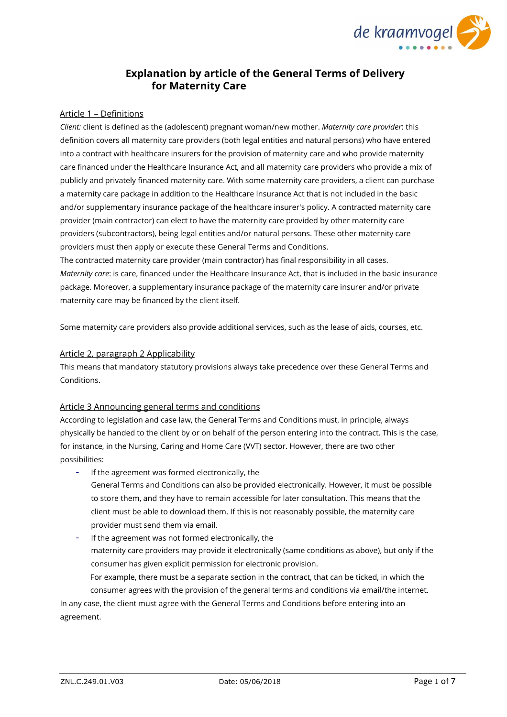

# **Explanation by article of the General Terms of Delivery for Maternity Care**

## Article 1 – Definitions

*Client:* client is defined as the (adolescent) pregnant woman/new mother. *Maternity care provider*: this definition covers all maternity care providers (both legal entities and natural persons) who have entered into a contract with healthcare insurers for the provision of maternity care and who provide maternity care financed under the Healthcare Insurance Act, and all maternity care providers who provide a mix of publicly and privately financed maternity care. With some maternity care providers, a client can purchase a maternity care package in addition to the Healthcare Insurance Act that is not included in the basic and/or supplementary insurance package of the healthcare insurer's policy. A contracted maternity care provider (main contractor) can elect to have the maternity care provided by other maternity care providers (subcontractors), being legal entities and/or natural persons. These other maternity care providers must then apply or execute these General Terms and Conditions.

The contracted maternity care provider (main contractor) has final responsibility in all cases. *Maternity care*: is care, financed under the Healthcare Insurance Act, that is included in the basic insurance package. Moreover, a supplementary insurance package of the maternity care insurer and/or private maternity care may be financed by the client itself.

Some maternity care providers also provide additional services, such as the lease of aids, courses, etc.

#### Article 2, paragraph 2 Applicability

This means that mandatory statutory provisions always take precedence over these General Terms and Conditions.

#### Article 3 Announcing general terms and conditions

According to legislation and case law, the General Terms and Conditions must, in principle, always physically be handed to the client by or on behalf of the person entering into the contract. This is the case, for instance, in the Nursing, Caring and Home Care (VVT) sector. However, there are two other possibilities:

- If the agreement was formed electronically, the
	- General Terms and Conditions can also be provided electronically. However, it must be possible to store them, and they have to remain accessible for later consultation. This means that the client must be able to download them. If this is not reasonably possible, the maternity care provider must send them via email.
- If the agreement was not formed electronically, the maternity care providers may provide it electronically (same conditions as above), but only if the consumer has given explicit permission for electronic provision. For example, there must be a separate section in the contract, that can be ticked, in which the consumer agrees with the provision of the general terms and conditions via email/the internet. In any case, the client must agree with the General Terms and Conditions before entering into an

agreement.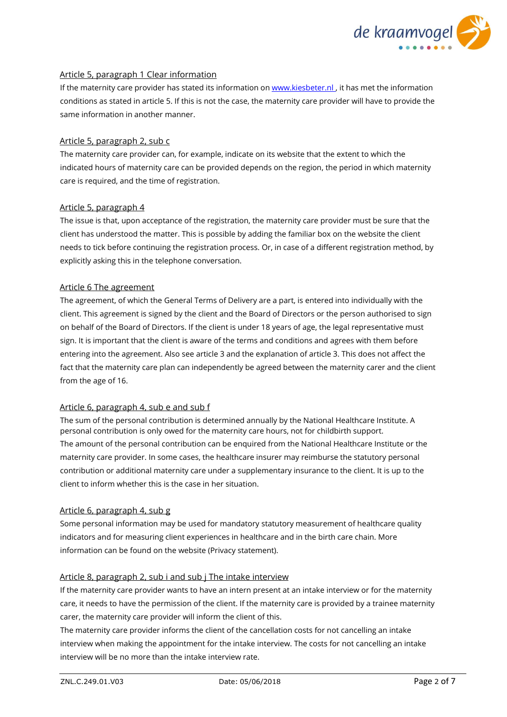

## Article 5, paragraph 1 Clear information

If the maternity care provider has stated its information on www.kiesbeter.nl, it has met the information conditions as stated in article 5. If this is not the case, the maternity care provider will have to provide the same information in another manner.

## Article 5, paragraph 2, sub c

The maternity care provider can, for example, indicate on its website that the extent to which the indicated hours of maternity care can be provided depends on the region, the period in which maternity care is required, and the time of registration.

## Article 5, paragraph 4

The issue is that, upon acceptance of the registration, the maternity care provider must be sure that the client has understood the matter. This is possible by adding the familiar box on the website the client needs to tick before continuing the registration process. Or, in case of a different registration method, by explicitly asking this in the telephone conversation.

## Article 6 The agreement

The agreement, of which the General Terms of Delivery are a part, is entered into individually with the client. This agreement is signed by the client and the Board of Directors or the person authorised to sign on behalf of the Board of Directors. If the client is under 18 years of age, the legal representative must sign. It is important that the client is aware of the terms and conditions and agrees with them before entering into the agreement. Also see article 3 and the explanation of article 3. This does not affect the fact that the maternity care plan can independently be agreed between the maternity carer and the client from the age of 16.

## Article 6, paragraph 4, sub e and sub f

The sum of the personal contribution is determined annually by the National Healthcare Institute. A personal contribution is only owed for the maternity care hours, not for childbirth support. The amount of the personal contribution can be enquired from the National Healthcare Institute or the maternity care provider. In some cases, the healthcare insurer may reimburse the statutory personal contribution or additional maternity care under a supplementary insurance to the client. It is up to the client to inform whether this is the case in her situation.

#### Article 6, paragraph 4, sub g

Some personal information may be used for mandatory statutory measurement of healthcare quality indicators and for measuring client experiences in healthcare and in the birth care chain. More information can be found on the website (Privacy statement).

## Article 8, paragraph 2, sub i and sub j The intake interview

If the maternity care provider wants to have an intern present at an intake interview or for the maternity care, it needs to have the permission of the client. If the maternity care is provided by a trainee maternity carer, the maternity care provider will inform the client of this.

The maternity care provider informs the client of the cancellation costs for not cancelling an intake interview when making the appointment for the intake interview. The costs for not cancelling an intake interview will be no more than the intake interview rate.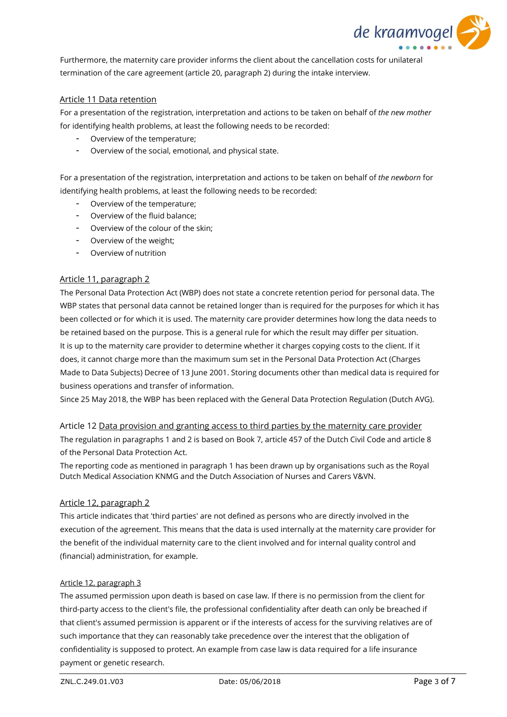

Furthermore, the maternity care provider informs the client about the cancellation costs for unilateral termination of the care agreement (article 20, paragraph 2) during the intake interview.

## Article 11 Data retention

For a presentation of the registration, interpretation and actions to be taken on behalf of *the new mother* for identifying health problems, at least the following needs to be recorded:

- Overview of the temperature;
- Overview of the social, emotional, and physical state.

For a presentation of the registration, interpretation and actions to be taken on behalf of *the newborn* for identifying health problems, at least the following needs to be recorded:

- Overview of the temperature;
- Overview of the fluid balance;
- Overview of the colour of the skin;
- Overview of the weight;
- Overview of nutrition

## Article 11, paragraph 2

The Personal Data Protection Act (WBP) does not state a concrete retention period for personal data. The WBP states that personal data cannot be retained longer than is required for the purposes for which it has been collected or for which it is used. The maternity care provider determines how long the data needs to be retained based on the purpose. This is a general rule for which the result may differ per situation. It is up to the maternity care provider to determine whether it charges copying costs to the client. If it does, it cannot charge more than the maximum sum set in the Personal Data Protection Act (Charges Made to Data Subjects) Decree of 13 June 2001. Storing documents other than medical data is required for business operations and transfer of information.

Since 25 May 2018, the WBP has been replaced with the General Data Protection Regulation (Dutch AVG).

Article 12 Data provision and granting access to third parties by the maternity care provider The regulation in paragraphs 1 and 2 is based on Book 7, article 457 of the Dutch Civil Code and article 8 of the Personal Data Protection Act.

The reporting code as mentioned in paragraph 1 has been drawn up by organisations such as the Royal Dutch Medical Association KNMG and the Dutch Association of Nurses and Carers V&VN.

#### Article 12, paragraph 2

This article indicates that 'third parties' are not defined as persons who are directly involved in the execution of the agreement. This means that the data is used internally at the maternity care provider for the benefit of the individual maternity care to the client involved and for internal quality control and (financial) administration, for example.

#### Article 12, paragraph 3

The assumed permission upon death is based on case law. If there is no permission from the client for third-party access to the client's file, the professional confidentiality after death can only be breached if that client's assumed permission is apparent or if the interests of access for the surviving relatives are of such importance that they can reasonably take precedence over the interest that the obligation of confidentiality is supposed to protect. An example from case law is data required for a life insurance payment or genetic research.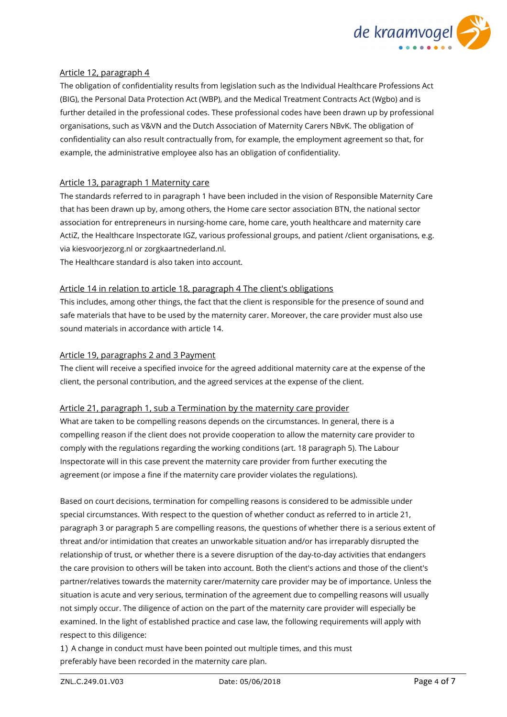

## Article 12, paragraph 4

The obligation of confidentiality results from legislation such as the Individual Healthcare Professions Act (BIG), the Personal Data Protection Act (WBP), and the Medical Treatment Contracts Act (Wgbo) and is further detailed in the professional codes. These professional codes have been drawn up by professional organisations, such as V&VN and the Dutch Association of Maternity Carers NBvK. The obligation of confidentiality can also result contractually from, for example, the employment agreement so that, for example, the administrative employee also has an obligation of confidentiality.

## Article 13, paragraph 1 Maternity care

The standards referred to in paragraph 1 have been included in the vision of Responsible Maternity Care that has been drawn up by, among others, the Home care sector association BTN, the national sector association for entrepreneurs in nursing-home care, home care, youth healthcare and maternity care ActiZ, the Healthcare Inspectorate IGZ, various professional groups, and patient /client organisations, e.g. via kiesvoorjezorg.nl or zorgkaartnederland.nl.

The Healthcare standard is also taken into account.

## Article 14 in relation to article 18, paragraph 4 The client's obligations

This includes, among other things, the fact that the client is responsible for the presence of sound and safe materials that have to be used by the maternity carer. Moreover, the care provider must also use sound materials in accordance with article 14.

## Article 19, paragraphs 2 and 3 Payment

The client will receive a specified invoice for the agreed additional maternity care at the expense of the client, the personal contribution, and the agreed services at the expense of the client.

#### Article 21, paragraph 1, sub a Termination by the maternity care provider

What are taken to be compelling reasons depends on the circumstances. In general, there is a compelling reason if the client does not provide cooperation to allow the maternity care provider to comply with the regulations regarding the working conditions (art. 18 paragraph 5). The Labour Inspectorate will in this case prevent the maternity care provider from further executing the agreement (or impose a fine if the maternity care provider violates the regulations).

Based on court decisions, termination for compelling reasons is considered to be admissible under special circumstances. With respect to the question of whether conduct as referred to in article 21, paragraph 3 or paragraph 5 are compelling reasons, the questions of whether there is a serious extent of threat and/or intimidation that creates an unworkable situation and/or has irreparably disrupted the relationship of trust, or whether there is a severe disruption of the day-to-day activities that endangers the care provision to others will be taken into account. Both the client's actions and those of the client's partner/relatives towards the maternity carer/maternity care provider may be of importance. Unless the situation is acute and very serious, termination of the agreement due to compelling reasons will usually not simply occur. The diligence of action on the part of the maternity care provider will especially be examined. In the light of established practice and case law, the following requirements will apply with respect to this diligence:

1) A change in conduct must have been pointed out multiple times, and this must preferably have been recorded in the maternity care plan.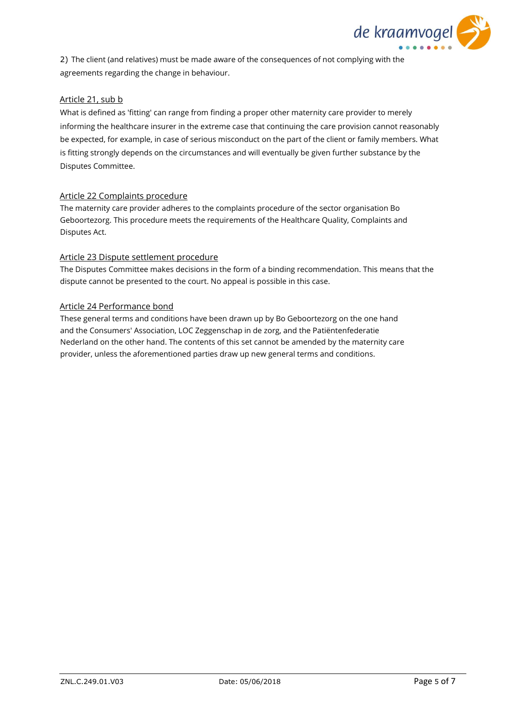

2) The client (and relatives) must be made aware of the consequences of not complying with the agreements regarding the change in behaviour.

## Article 21, sub b

What is defined as 'fitting' can range from finding a proper other maternity care provider to merely informing the healthcare insurer in the extreme case that continuing the care provision cannot reasonably be expected, for example, in case of serious misconduct on the part of the client or family members. What is fitting strongly depends on the circumstances and will eventually be given further substance by the Disputes Committee.

#### Article 22 Complaints procedure

The maternity care provider adheres to the complaints procedure of the sector organisation Bo Geboortezorg. This procedure meets the requirements of the Healthcare Quality, Complaints and Disputes Act.

## Article 23 Dispute settlement procedure

The Disputes Committee makes decisions in the form of a binding recommendation. This means that the dispute cannot be presented to the court. No appeal is possible in this case.

## Article 24 Performance bond

These general terms and conditions have been drawn up by Bo Geboortezorg on the one hand and the Consumers' Association, LOC Zeggenschap in de zorg, and the Patiëntenfederatie Nederland on the other hand. The contents of this set cannot be amended by the maternity care provider, unless the aforementioned parties draw up new general terms and conditions.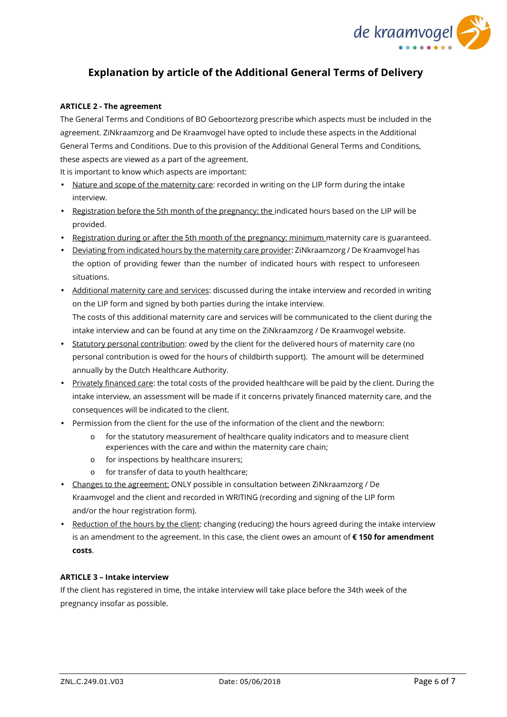

# **Explanation by article of the Additional General Terms of Delivery**

#### **ARTICLE 2 - The agreement**

The General Terms and Conditions of BO Geboortezorg prescribe which aspects must be included in the agreement. ZiNkraamzorg and De Kraamvogel have opted to include these aspects in the Additional General Terms and Conditions. Due to this provision of the Additional General Terms and Conditions, these aspects are viewed as a part of the agreement.

It is important to know which aspects are important:

- Nature and scope of the maternity care: recorded in writing on the LIP form during the intake interview.
- Registration before the 5th month of the pregnancy: the indicated hours based on the LIP will be provided.
- Registration during or after the 5th month of the pregnancy: minimum maternity care is guaranteed.
- Deviating from indicated hours by the maternity care provider: ZiNkraamzorg / De Kraamvogel has the option of providing fewer than the number of indicated hours with respect to unforeseen situations.
- Additional maternity care and services: discussed during the intake interview and recorded in writing on the LIP form and signed by both parties during the intake interview. The costs of this additional maternity care and services will be communicated to the client during the intake interview and can be found at any time on the ZiNkraamzorg / De Kraamvogel website.
- Statutory personal contribution: owed by the client for the delivered hours of maternity care (no personal contribution is owed for the hours of childbirth support). The amount will be determined annually by the Dutch Healthcare Authority.
- Privately financed care: the total costs of the provided healthcare will be paid by the client. During the intake interview, an assessment will be made if it concerns privately financed maternity care, and the consequences will be indicated to the client.
- Permission from the client for the use of the information of the client and the newborn:
	- o for the statutory measurement of healthcare quality indicators and to measure client experiences with the care and within the maternity care chain;
	- o for inspections by healthcare insurers;
	- o for transfer of data to youth healthcare;
- Changes to the agreement: ONLY possible in consultation between ZiNkraamzorg / De Kraamvogel and the client and recorded in WRITING (recording and signing of the LIP form and/or the hour registration form).
- Reduction of the hours by the client: changing (reducing) the hours agreed during the intake interview is an amendment to the agreement. In this case, the client owes an amount of **€ 150 for amendment costs**.

## **ARTICLE 3 – Intake interview**

If the client has registered in time, the intake interview will take place before the 34th week of the pregnancy insofar as possible.